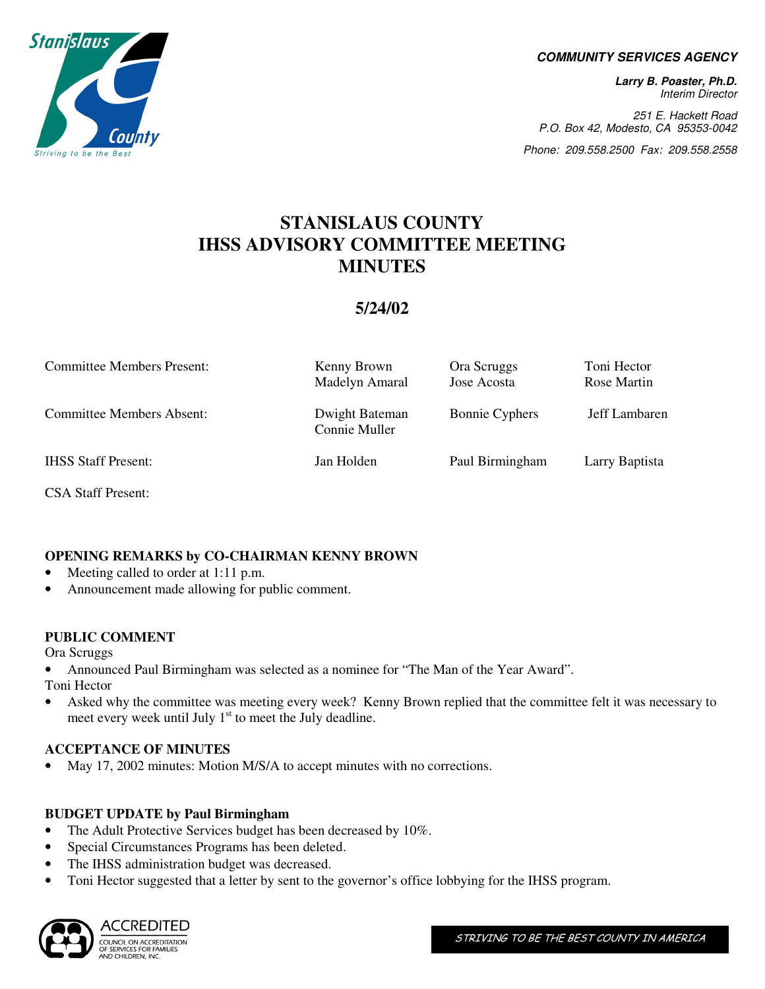

#### **COMMUNITY SERVICES AGENCY**

**Larry B. Poaster, Ph.D.**  Interim Director

251 E. Hackett Road P.O. Box 42, Modesto, CA 95353-0042

Phone: 209.558.2500 Fax: 209.558.2558

# **STANISLAUS COUNTY IHSS ADVISORY COMMITTEE MEETING MINUTES**

## **5/24/02**

| <b>Committee Members Present:</b> | Kenny Brown<br>Madelyn Amaral   | Ora Scruggs<br>Jose Acosta | Toni Hector<br>Rose Martin |
|-----------------------------------|---------------------------------|----------------------------|----------------------------|
| <b>Committee Members Absent:</b>  | Dwight Bateman<br>Connie Muller | <b>Bonnie Cyphers</b>      | Jeff Lambaren              |
| <b>IHSS Staff Present:</b>        | Jan Holden                      | Paul Birmingham            | Larry Baptista             |

CSA Staff Present:

## **OPENING REMARKS by CO-CHAIRMAN KENNY BROWN**

- Meeting called to order at 1:11 p.m.
- Announcement made allowing for public comment.

#### **PUBLIC COMMENT**

Ora Scruggs

• Announced Paul Birmingham was selected as a nominee for "The Man of the Year Award".

Toni Hector

• Asked why the committee was meeting every week? Kenny Brown replied that the committee felt it was necessary to meet every week until July  $1<sup>st</sup>$  to meet the July deadline.

## **ACCEPTANCE OF MINUTES**

• May 17, 2002 minutes: Motion M/S/A to accept minutes with no corrections.

#### **BUDGET UPDATE by Paul Birmingham**

- The Adult Protective Services budget has been decreased by 10%.
- Special Circumstances Programs has been deleted.
- The IHSS administration budget was decreased.
- Toni Hector suggested that a letter by sent to the governor's office lobbying for the IHSS program.